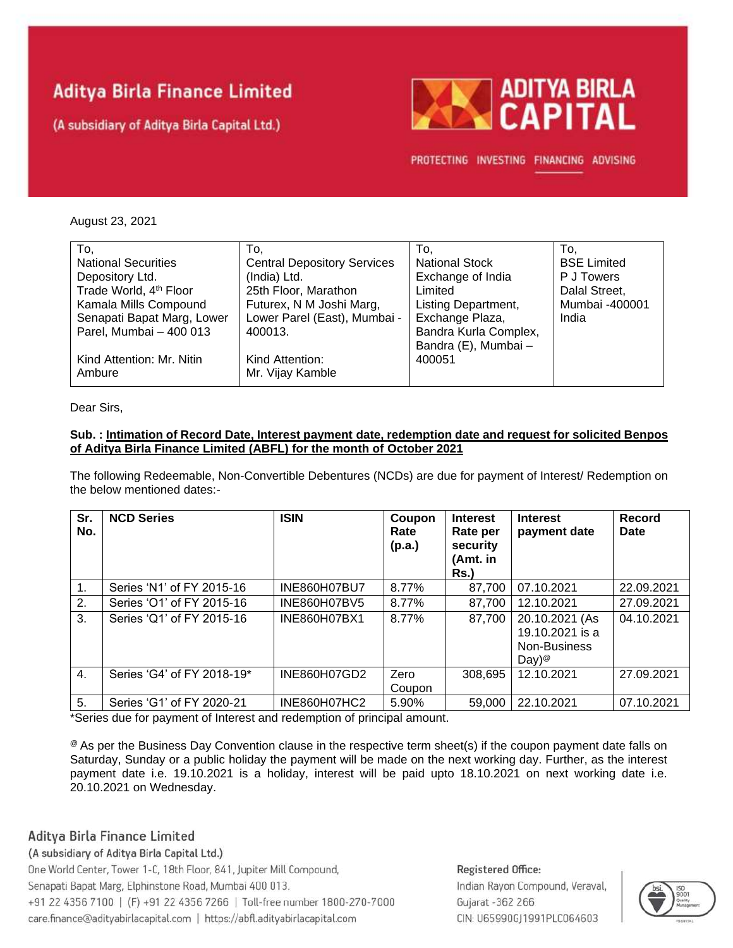# **Aditya Birla Finance Limited**

(A subsidiary of Aditya Birla Capital Ltd.)



PROTECTING INVESTING FINANCING ADVISING

#### August 23, 2021

| To.                                | To.                                | To.                        | To.                |
|------------------------------------|------------------------------------|----------------------------|--------------------|
| <b>National Securities</b>         | <b>Central Depository Services</b> | <b>National Stock</b>      | <b>BSE Limited</b> |
| Depository Ltd.                    | (India) Ltd.                       | Exchange of India          | P J Towers         |
| Trade World, 4 <sup>th</sup> Floor | 25th Floor, Marathon               | Limited                    | Dalal Street,      |
| Kamala Mills Compound              | Futurex, N M Joshi Marg,           | <b>Listing Department,</b> | Mumbai -400001     |
| Senapati Bapat Marg, Lower         | Lower Parel (East), Mumbai -       | Exchange Plaza,            | India              |
| Parel, Mumbai - 400 013            | 400013.                            | Bandra Kurla Complex,      |                    |
|                                    |                                    | Bandra (E), Mumbai -       |                    |
| Kind Attention: Mr. Nitin          | Kind Attention:                    | 400051                     |                    |
| Ambure                             | Mr. Vijay Kamble                   |                            |                    |
|                                    |                                    |                            |                    |

Dear Sirs,

#### **Sub. : Intimation of Record Date, Interest payment date, redemption date and request for solicited Benpos of Aditya Birla Finance Limited (ABFL) for the month of October 2021**

The following Redeemable, Non-Convertible Debentures (NCDs) are due for payment of Interest/ Redemption on the below mentioned dates:-

| Sr.<br>No.     | <b>NCD Series</b>          | <b>ISIN</b>         | Coupon<br>Rate<br>(p.a.) | <b>Interest</b><br>Rate per<br>security<br>(Amt. in<br>Rs.) | <b>Interest</b><br>payment date                                        | <b>Record</b><br>Date |
|----------------|----------------------------|---------------------|--------------------------|-------------------------------------------------------------|------------------------------------------------------------------------|-----------------------|
| 1.             | Series 'N1' of FY 2015-16  | <b>INE860H07BU7</b> | 8.77%                    | 87.700                                                      | 07.10.2021                                                             | 22.09.2021            |
| 2.             | Series 'O1' of FY 2015-16  | <b>INE860H07BV5</b> | 8.77%                    | 87.700                                                      | 12.10.2021                                                             | 27.09.2021            |
| 3.             | Series 'Q1' of FY 2015-16  | INE860H07BX1        | 8.77%                    | 87,700                                                      | 20.10.2021 (As<br>19.10.2021 is a<br>Non-Business<br>Day) <sup>@</sup> | 04.10.2021            |
| $\mathbf{4}$ . | Series 'G4' of FY 2018-19* | INE860H07GD2        | Zero<br>Coupon           | 308,695                                                     | 12.10.2021                                                             | 27.09.2021            |
| 5.             | Series 'G1' of FY 2020-21  | INE860H07HC2        | 5.90%                    | 59,000                                                      | 22.10.2021                                                             | 07.10.2021            |

\*Series due for payment of Interest and redemption of principal amount.

<sup>@</sup> As per the Business Day Convention clause in the respective term sheet(s) if the coupon payment date falls on Saturday, Sunday or a public holiday the payment will be made on the next working day. Further, as the interest payment date i.e. 19.10.2021 is a holiday, interest will be paid upto 18.10.2021 on next working date i.e. 20.10.2021 on Wednesday.

#### Aditya Birla Finance Limited

(A subsidiary of Aditya Birla Capital Ltd.)

One World Center, Tower 1-C, 18th Floor, 841, Jupiter Mill Compound, Senapati Bapat Marg, Elphinstone Road, Mumbai 400 013. +91 22 4356 7100 | (F) +91 22 4356 7266 | Toll-free number 1800-270-7000 care.finance@adityabirlacapital.com | https://abfl.adityabirlacapital.com

### Registered Office: Indian Rayon Compound, Veraval, Gujarat - 362 266 CIN: U65990GJ1991PLC064603